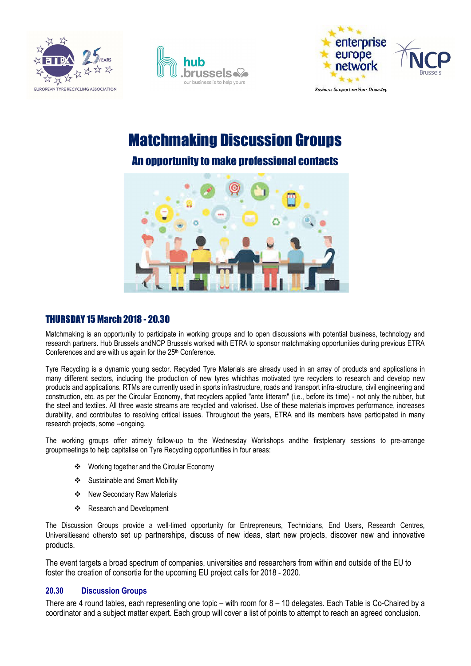





**Business Support on Your Doorstep** 

# Matchmaking Discussion Groups

## An opportunity to make professional contacts



## THURSDAY 15 March 2018 - 20.30

Matchmaking is an opportunity to participate in working groups and to open discussions with potential business, technology and research partners. Hub Brussels andNCP Brussels worked with ETRA to sponsor matchmaking opportunities during previous ETRA Conferences and are with us again for the 25<sup>th</sup> Conference.

Tyre Recycling is a dynamic young sector. Recycled Tyre Materials are already used in an array of products and applications in many different sectors, including the production of new tyres whichhas motivated tyre recyclers to research and develop new products and applications. RTMs are currently used in sports infrastructure, roads and transport infra-structure, civil engineering and construction, etc. as per the Circular Economy, that recyclers applied "ante litteram" (i.e., before its time) - not only the rubber, but the steel and textiles. All three waste streams are recycled and valorised. Use of these materials improves performance, increases durability, and contributes to resolving critical issues. Throughout the years, ETRA and its members have participated in many research projects, some --ongoing.

The working groups offer atimely follow-up to the Wednesday Workshops andthe firstplenary sessions to pre-arrange groupmeetings to help capitalise on Tyre Recycling opportunities in four areas:

- Working together and the Circular Economy
- Sustainable and Smart Mobility
- New Secondary Raw Materials
- Research and Development

The Discussion Groups provide a well-timed opportunity for Entrepreneurs, Technicians, End Users, Research Centres, Universitiesand othersto set up partnerships, discuss of new ideas, start new projects, discover new and innovative products.

The event targets a broad spectrum of companies, universities and researchers from within and outside of the EU to foster the creation of consortia for the upcoming EU project calls for 2018 - 2020.

## 20.30 Discussion Groups

There are 4 round tables, each representing one topic – with room for 8 – 10 delegates. Each Table is Co-Chaired by a coordinator and a subject matter expert. Each group will cover a list of points to attempt to reach an agreed conclusion.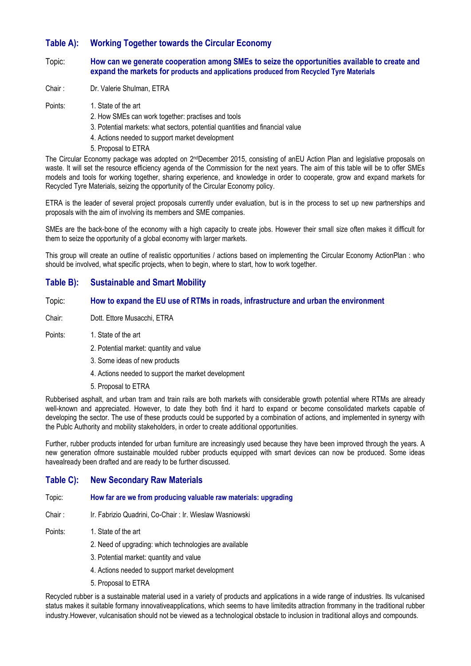## Table A): Working Together towards the Circular Economy

#### Topic: How can we generate cooperation among SMEs to seize the opportunities available to create and expand the markets for products and applications produced from Recycled Tyre Materials

- Chair : Dr. Valerie Shulman, ETRA
- Points: 1. State of the art
	- 2. How SMEs can work together: practises and tools
	- 3. Potential markets: what sectors, potential quantities and financial value
	- 4. Actions needed to support market development
	- 5. Proposal to ETRA

The Circular Economy package was adopted on 2ndDecember 2015, consisting of anEU Action Plan and legislative proposals on waste. It will set the resource efficiency agenda of the Commission for the next years. The aim of this table will be to offer SMEs models and tools for working together, sharing experience, and knowledge in order to cooperate, grow and expand markets for Recycled Tyre Materials, seizing the opportunity of the Circular Economy policy.

ETRA is the leader of several project proposals currently under evaluation, but is in the process to set up new partnerships and proposals with the aim of involving its members and SME companies.

SMEs are the back-bone of the economy with a high capacity to create jobs. However their small size often makes it difficult for them to seize the opportunity of a global economy with larger markets.

This group will create an outline of realistic opportunities / actions based on implementing the Circular Economy ActionPlan : who should be involved, what specific projects, when to begin, where to start, how to work together.

## Table B): Sustainable and Smart Mobility

#### Topic: How to expand the EU use of RTMs in roads, infrastructure and urban the environment

Chair: Dott. Ettore Musacchi, ETRA

#### Points: 1. State of the art

- 2. Potential market: quantity and value
- 3. Some ideas of new products
- 4. Actions needed to support the market development
- 5. Proposal to ETRA

Rubberised asphalt, and urban tram and train rails are both markets with considerable growth potential where RTMs are already well-known and appreciated. However, to date they both find it hard to expand or become consolidated markets capable of developing the sector. The use of these products could be supported by a combination of actions, and implemented in synergy with the Publc Authority and mobility stakeholders, in order to create additional opportunities.

Further, rubber products intended for urban furniture are increasingly used because they have been improved through the years. A new generation ofmore sustainable moulded rubber products equipped with smart devices can now be produced. Some ideas havealready been drafted and are ready to be further discussed.

## Table C): New Secondary Raw Materials

#### Topic: How far are we from producing valuable raw materials: upgrading

Chair : Ir. Fabrizio Quadrini, Co-Chair : Ir. Wieslaw Wasniowski

- Points: 1. State of the art
	- 2. Need of upgrading: which technologies are available
	- 3. Potential market: quantity and value
	- 4. Actions needed to support market development
	- 5. Proposal to ETRA

Recycled rubber is a sustainable material used in a variety of products and applications in a wide range of industries. Its vulcanised status makes it suitable formany innovativeapplications, which seems to have limitedits attraction frommany in the traditional rubber industry.However, vulcanisation should not be viewed as a technological obstacle to inclusion in traditional alloys and compounds.